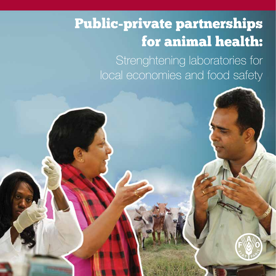# Public-private partnerships for animal health:

Strenghtening laboratories for local economies and food safety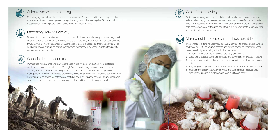

### Animals are worth protecting

Protecting against animal disease is a smart investment. People around the world rely on animals as a source of food, draught power, transport, savings and private enterprise. Some animal diseases also threaten public health, since many can infect humans.



**SEE** 

### Laboratory services are key

Disease detection, prevention and control require reliable and fast laboratory services. Large and small livestock producers depend on diagnostic and veterinary information for their businesses to thrive. Governments rely on veterinary laboratories to detect diseases so that veterinary services can better protect animals as part of overall efforts to increase production, maintain food safety and enhance food security.

## Good for local economies

Partnerships with national veterinary laboratories make livestock production more profitable and local economies more lucrative. Through fast, accurate diagnoses and regular health checks, national laboratories can help producers invest in cost-efficient disease prevention and management. The result: increased production, efficiency and earnings. Veterinary services count on veterinary laboratories for detection of notifiable and high-impact diseases. Reliable diagnostic services promote international trust, leading to enhanced trade and thriving economies.



# Great for food safety

Partnering veterinary laboratories with livestock producers helps enhance food safety. Laboratory guidance enables producers to choose effective treatments. This in turn reduces the random use of antibiotics and other drugs. Laboratories help producers detect pathogens and other public health threats to prevent their introduction into the food chain.



# Making public-private partnerships possible

The benefits of extending veterinary laboratory services to producers are tangible and available. FAO helps governments and private sector counterparts access these benefits by supporting action in five key areas:

1. Revising the legal status of national veterinary laboratories

2. Establishing satellite laboratories in locations convenient for livestock holders 3. Equipping laboratories with public relations, marketing and client management

- skills
- 
- 

4. Targeting animal producers with products and services tailored to their needs 5. Integrating veterinary laboratory activities into public policies on livestock production, disease surveillance and food quality and safety